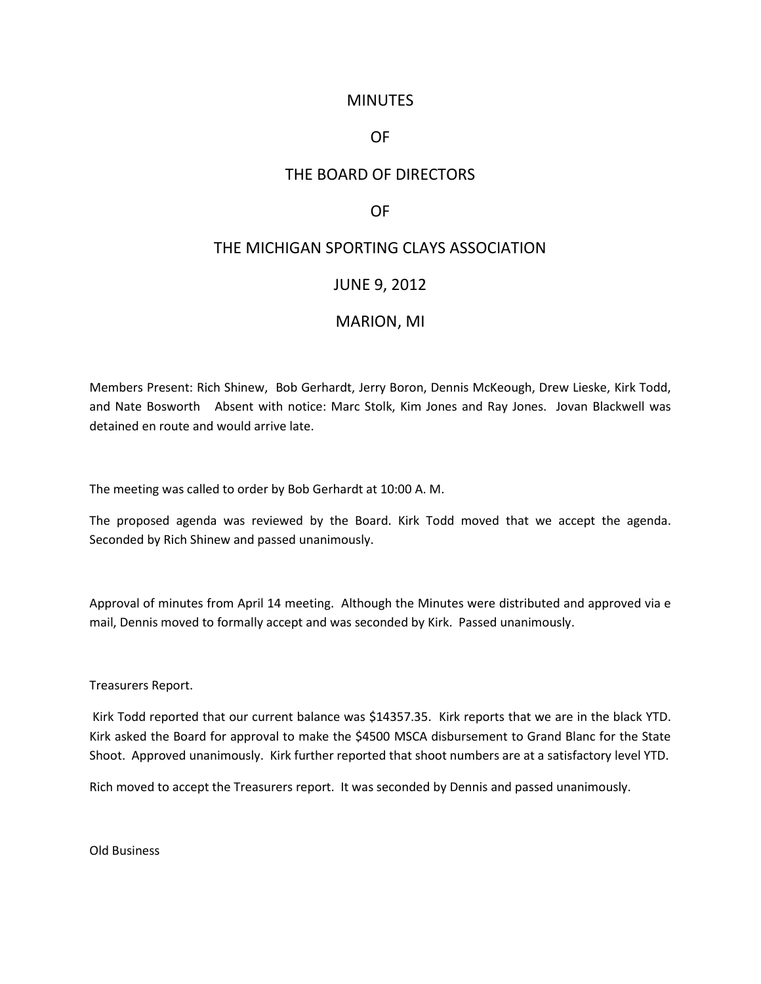## **MINUTES**

## OF

# THE BOARD OF DIRECTORS

## OF

# THE MICHIGAN SPORTING CLAYS ASSOCIATION

#### JUNE 9, 2012

## MARION, MI

Members Present: Rich Shinew, Bob Gerhardt, Jerry Boron, Dennis McKeough, Drew Lieske, Kirk Todd, and Nate Bosworth Absent with notice: Marc Stolk, Kim Jones and Ray Jones. Jovan Blackwell was detained en route and would arrive late.

The meeting was called to order by Bob Gerhardt at 10:00 A. M.

The proposed agenda was reviewed by the Board. Kirk Todd moved that we accept the agenda. Seconded by Rich Shinew and passed unanimously.

Approval of minutes from April 14 meeting. Although the Minutes were distributed and approved via e mail, Dennis moved to formally accept and was seconded by Kirk. Passed unanimously.

Treasurers Report.

Kirk Todd reported that our current balance was \$14357.35. Kirk reports that we are in the black YTD. Kirk asked the Board for approval to make the \$4500 MSCA disbursement to Grand Blanc for the State Shoot. Approved unanimously. Kirk further reported that shoot numbers are at a satisfactory level YTD.

Rich moved to accept the Treasurers report. It was seconded by Dennis and passed unanimously.

Old Business